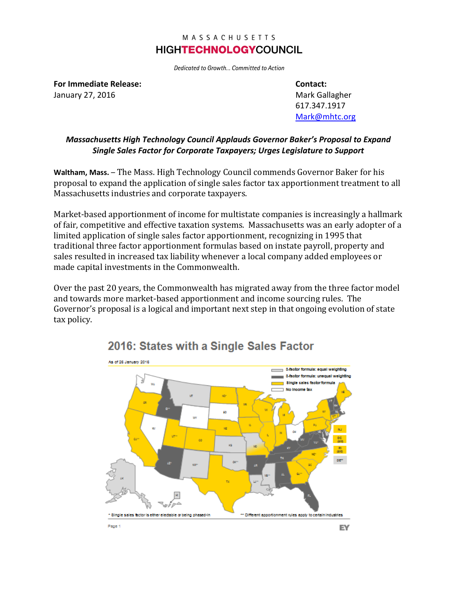## MASSACHUSETTS **HIGHTECHNOLOGYCOUNCIL**

Dedicated to Growth... Committed to Action

**For Immediate Release: Contact:**

January 27, 2016 Mark Gallagher Mark Gallagher Mark Gallagher Mark Gallagher 617.347.1917 [Mark@mhtc.org](mailto:Mark@mhtc.org)

## *Massachusetts High Technology Council Applauds Governor Baker's Proposal to Expand Single Sales Factor for Corporate Taxpayers; Urges Legislature to Support*

**Waltham, Mass.** – The Mass. High Technology Council commends Governor Baker for his proposal to expand the application of single sales factor tax apportionment treatment to all Massachusetts industries and corporate taxpayers.

Market-based apportionment of income for multistate companies is increasingly a hallmark of fair, competitive and effective taxation systems. Massachusetts was an early adopter of a limited application of single sales factor apportionment, recognizing in 1995 that traditional three factor apportionment formulas based on instate payroll, property and sales resulted in increased tax liability whenever a local company added employees or made capital investments in the Commonwealth.

Over the past 20 years, the Commonwealth has migrated away from the three factor model and towards more market-based apportionment and income sourcing rules. The Governor's proposal is a logical and important next step in that ongoing evolution of state tax policy.



## 2016: States with a Single Sales Factor